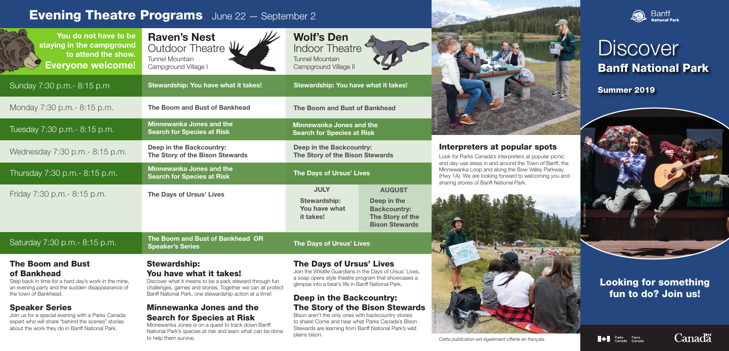### Interpreters at popular spots

Look for Parks Canada's interpreters at popular picnic and day-use areas in and around the Town of Banff, the Minnewanka Loop and along the Bow Valley Parkway (Hwy 1A). We are looking forward to welcoming you and



Banff<br>National Park

*Cette publication est également offerte en français.*

### Looking for something fun to do? Join us!







### Speaker Series

Join us for a special evening with a Parks Canada expert who will share "behind the scenes" stories about the work they do in Banff National Park.

### Minnewanka Jones and the Search for Species at Risk

Minnewanka Jones is on a quest to track down Banff National Park's species at risk and learn what can be done to help them survive.

## **Discover** Banff National Park

## **Evening Theatre Programs** June 22 - September 2



# The Story of the Bison Stewards

Bison aren't the only ones with backcountry stories to share! Come and hear what Parks Canada's Bison Stewards are learning from Banff National Park's wild plains bison.



*S. van der Linden*



Summer 2019